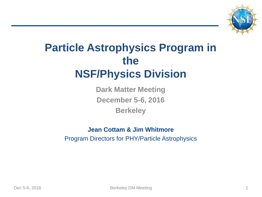

# **Particle Astrophysics Program in the NSF/Physics Division**

**Dark Matter Meeting December 5-6, 2016 Berkeley**

#### **Jean Cottam & Jim Whitmore** Program Directors for PHY/Particle Astrophysics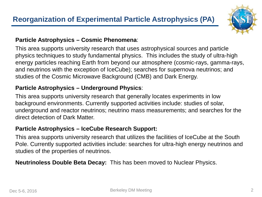

#### **Particle Astrophysics – Cosmic Phenomena**:

This area supports university research that uses astrophysical sources and particle physics techniques to study fundamental physics. This includes the study of ultra-high energy particles reaching Earth from beyond our atmosphere (cosmic-rays, gamma-rays, and neutrinos with the exception of IceCube); searches for supernova neutrinos; and studies of the Cosmic Microwave Background (CMB) and Dark Energy.

#### **Particle Astrophysics – Underground Physics**:

This area supports university research that generally locates experiments in low background environments. Currently supported activities include: studies of solar, underground and reactor neutrinos; neutrino mass measurements; and searches for the direct detection of Dark Matter.

#### **Particle Astrophysics – IceCube Research Support:**

This area supports university research that utilizes the facilities of IceCube at the South Pole. Currently supported activities include: searches for ultra-high energy neutrinos and studies of the properties of neutrinos.

**Neutrinoless Double Beta Decay:** This has been moved to Nuclear Physics.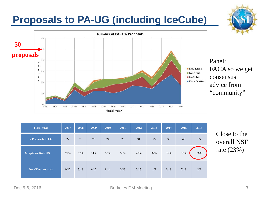## **Proposals to PA-UG (including IceCube)**



| <b>Fiscal Year</b>        | 2007 | 2008 | 2009 | 2010 | 2011 | 2012 | 2013 | 2014 | 2015 | 2016 |
|---------------------------|------|------|------|------|------|------|------|------|------|------|
| # Proposals to UG         | 22   | 23   | 23   | 24   | 26   | 31   | 25   | 36   | 49   | 35   |
| <b>Acceptance Rate UG</b> | 77%  | 57%  | 74%  | 58%  | 50%  | 48%  | 32%  | 36%  | 37%  | 26%  |
| <b>New/Total Awards</b>   | 9/17 | 5/13 | 6/17 | 8/14 | 3/13 | 3/15 | 1/8  | 0/13 | 7/18 | 2/9  |

Close to the overall NSF rate (23%)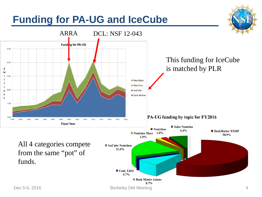## **Funding for PA-UG and IceCube**

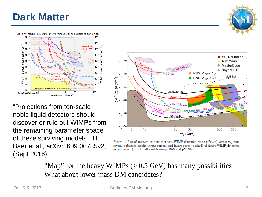#### **Dark Matter**





"Projections from ton-scale noble liquid detectors should discover or rule out WIMPs from the remaining parameter space of these surviving models." H. Baer et al., arXiv:1609.06735v2, (Sept 2016)



Figure 1: Plot of rescaled spin-independent WIMP detection rate  $\xi \sigma^{SI}(\chi, p)$  versus  $m_{\chi}$  from several published results versus current and future reach (dashed) of direct WIMP detection experiments.  $\xi = 1$  for all models except RNS and pMSSM.

"Map" for the heavy WIMPs  $(> 0.5 \text{ GeV})$  has many possibilities What about lower mass DM candidates?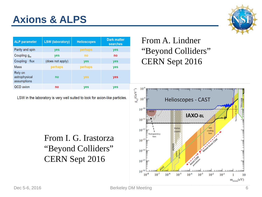## **Axions & ALPS**

| <b>ALP</b> parameter                    | <b>LSW</b> (laboratory) | <b>Helioscopes</b> | <b>Dark matter</b><br>searches |
|-----------------------------------------|-------------------------|--------------------|--------------------------------|
| Parity and spin                         | <b>ves</b>              | perhaps            | yes                            |
| Coupling $g_{av}$                       | yes                     | no                 | no                             |
| Coupling $\cdot$ flux                   | (does not apply)        | <b>ves</b>         | yes                            |
| Mass                                    | perhaps                 | perhaps            | <b>ves</b>                     |
| Rely on<br>astrophysical<br>assumptions | no                      | yes                | yes                            |
| QCD axion                               | no                      | ves                | <b>ves</b>                     |

LSW in the laboratory is very well suited to look for axion-like particles.

From I. G. Irastorza "Beyond Colliders" CERN Sept 2016





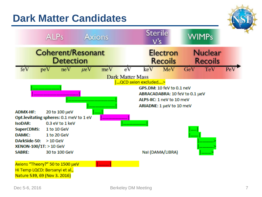#### **Dark Matter Candidates**



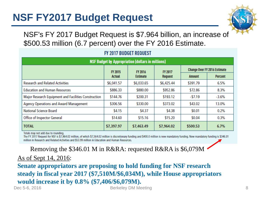### **NSF FY2017 Budget Request**



NSF's FY 2017 Budget Request is \$7.964 billion, an increase of \$500.53 million (6.7 percent) over the FY 2016 Estimate.

| <b>NSF Budget by Appropriation (dollars in millions)</b> |            |                                   |                |                                     |                |  |  |  |
|----------------------------------------------------------|------------|-----------------------------------|----------------|-------------------------------------|----------------|--|--|--|
|                                                          | FY 2015    | <b>FY 2016</b><br><b>Estimate</b> | <b>FY 2017</b> | <b>Change Over FY 2016 Estimate</b> |                |  |  |  |
|                                                          | Actual     |                                   | <b>Request</b> | <b>Amount</b>                       | <b>Percent</b> |  |  |  |
| <b>Research and Related Activities</b>                   | \$6,041.57 | \$6,033.65                        | \$6,425.44     | \$391.79                            | 6.5%           |  |  |  |
| <b>Education and Human Resources</b>                     | \$886.33   | \$880.00                          | \$952.86       | \$72.86                             | 8.3%           |  |  |  |
| Major Research Equipment and Facilities Construction     | \$144.76   | \$200.31                          | \$193.12       | $-57.19$                            | $-3.6%$        |  |  |  |
| Agency Operations and Award Management                   | \$306.56   | \$330.00                          | \$373.02       | \$43.02                             | 13.0%          |  |  |  |
| <b>National Science Board</b>                            | \$4.15     | \$4.37                            | \$4.38         | \$0.01                              | 0.2%           |  |  |  |
| Office of Inspector General                              | \$14.60    | \$15.16                           | \$15.20        | \$0.04                              | 0.3%           |  |  |  |
| <b>TOTAL</b>                                             | \$7,397.97 | \$7,463.49                        | \$7,964.02     | \$500.53                            | 6.7%           |  |  |  |

#### FY 2017 BUDGET REQUEST

Totals may not add due to rounding.

The FY 2017 Request for NSF is \$7,964.02 million, of which \$7,564.02 million is discretionary funding and \$400.0 million is new mandatory funding. New mandatory funding is \$346.01 million in Research and Related Activities and \$53.99 million in Education and Human Resources.

Removing the \$346.01 M in R&RA: requested R&RA is \$6,079M

As of Sept 14, 2016:

Dec 5-6, 2016 **Berkeley DM Meeting** 8 **Senate appropriators are proposing to hold funding for NSF research steady in fiscal year 2017 (\$7,510M/\$6,034M), while House appropriators would increase it by 0.8% (\$7,406/\$6,079M).**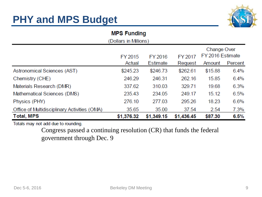## **PHY and MPS Budget**



#### **MPS Funding** (Dollars in Millions) Change Over FY 2016 Estimate FY 2016 FY 2017 FY 2015 Actual Estimate Request Amount Percent \$262.61 6.4% Astronomical Sciences (AST) \$245.23 \$246.73 \$15.88 246.29 246.31 262.16 1585 6.4% Chemistry (CHE) 337.62 310.03 329.71 6.3% Materials Research (DMR) 19.68 235.43 234.05 15.12 6.5% Mathematical Sciences (DMS) 249.17 Physics (PHY) 276.10 277.03 295.26 18.23 6.6% Office of Multidisciplinary Activities (OMA) 35.65 35.00 37.54 2.54 7.3% **Total, MPS** \$1,376.32 \$1,349.15 \$1,436.45 \$87.30  $6.5%$

Totals may not add due to rounding.

Congress passed a continuing resolution (CR) that funds the federal government through Dec. 9